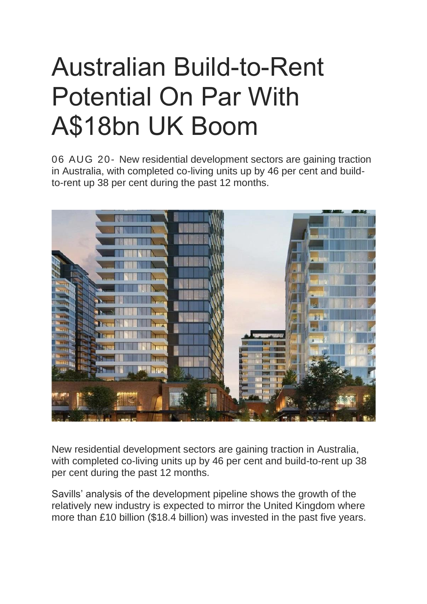## Australian Build-to-Rent Potential On Par With A\$18bn UK Boom

06 AUG 20- New residential development sectors are gaining traction in Australia, with completed co-living units up by 46 per cent and buildto-rent up 38 per cent during the past 12 months.



New residential development sectors are gaining traction in Australia, with completed co-living units up by 46 per cent and build-to-rent up 38 per cent during the past 12 months.

Savills' analysis of the development pipeline shows the growth of the relatively new industry is expected to mirror the United Kingdom where more than £10 billion (\$18.4 billion) was invested in the past five years.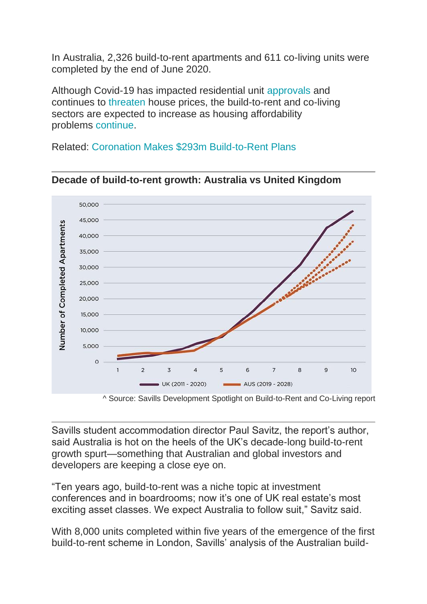In Australia, 2,326 build-to-rent apartments and 611 co-living units were completed by the end of June 2020.

Although Covid-19 has impacted residential unit [approvals](https://theurbandeveloper.com/articles/building-approvals-june) and continues to [threaten](https://theurbandeveloper.com/articles/covid-house-price-downturn-continues) house prices, the build-to-rent and co-living sectors are expected to increase as housing affordability problems [continue.](https://theurbandeveloper.com/articles/coronavirus-affordability-could-dampen-house-price-growth)

Related: [Coronation Makes \\$293m Build-to-Rent Plans](https://theurbandeveloper.com/articles/coronation-makes-293m-merrylands-plans)



**Decade of build-to-rent growth: Australia vs United Kingdom**

^ Source: Savills Development Spotlight on Build-to-Rent and Co-Living report

Savills student accommodation director Paul Savitz, the report's author, said Australia is hot on the heels of the UK's decade-long build-to-rent growth spurt—something that Australian and global investors and developers are keeping a close eye on.

"Ten years ago, build-to-rent was a niche topic at investment conferences and in boardrooms; now it's one of UK real estate's most exciting asset classes. We expect Australia to follow suit," Savitz said.

With 8,000 units completed within five years of the emergence of the first build-to-rent scheme in London, Savills' analysis of the Australian build